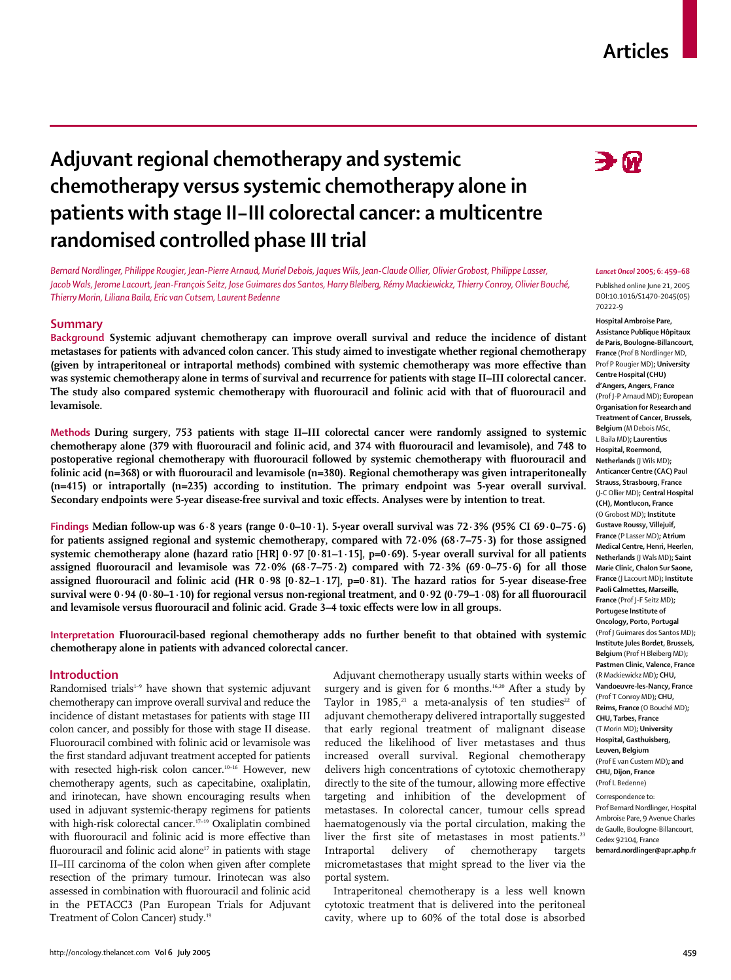## **Articles**

# **Adjuvant regional chemotherapy and systemic chemotherapy versus systemic chemotherapy alone in patients with stage II–III colorectal cancer: a multicentre randomised controlled phase III trial**

*Bernard Nordlinger, Philippe Rougier, Jean-Pierre Arnaud, Muriel Debois, Jaques Wils, Jean-Claude Ollier, Olivier Grobost, Philippe Lasser, Jacob Wals, Jerome Lacourt, Jean-François Seitz, Jose Guimares dos Santos, Harry Bleiberg, Rémy Mackiewickz, Thierry Conroy, Olivier Bouché, Thierry Morin, Liliana Baila, Eric van Cutsem, Laurent Bedenne*

## **Summary**

**Background Systemic adjuvant chemotherapy can improve overall survival and reduce the incidence of distant metastases for patients with advanced colon cancer. This study aimed to investigate whether regional chemotherapy (given by intraperitoneal or intraportal methods) combined with systemic chemotherapy was more effective than was systemic chemotherapy alone in terms of survival and recurrence for patients with stage II–III colorectal cancer. The study also compared systemic chemotherapy with fluorouracil and folinic acid with that of fluorouracil and levamisole.**

**Methods During surgery, 753 patients with stage II–III colorectal cancer were randomly assigned to systemic chemotherapy alone (379 with fluorouracil and folinic acid, and 374 with fluorouracil and levamisole), and 748 to postoperative regional chemotherapy with fluorouracil followed by systemic chemotherapy with fluorouracil and folinic acid (n=368) or with fluorouracil and levamisole (n=380). Regional chemotherapy was given intraperitoneally (n=415) or intraportally (n=235) according to institution. The primary endpoint was 5-year overall survival. Secondary endpoints were 5-year disease-free survival and toxic effects. Analyses were by intention to treat.**

**Findings Median follow-up was 6·8 years (range 0·0–10·1). 5-year overall survival was 72·3% (95% CI 69·0–75·6) for patients assigned regional and systemic chemotherapy, compared with 72·0% (68·7–75·3) for those assigned systemic chemotherapy alone (hazard ratio [HR] 0·97 [0·81–1·15], p=0·69). 5-year overall survival for all patients assigned fluorouracil and levamisole was 72·0% (68·7–75·2) compared with 72·3% (69·0–75·6) for all those assigned fluorouracil and folinic acid (HR 0·98 [0·82–1·17], p=0·81). The hazard ratios for 5-year disease-free survival were 0·94 (0·80–1·10) for regional versus non-regional treatment, and 0·92 (0·79–1·08) for all fluorouracil and levamisole versus fluorouracil and folinic acid. Grade 3–4 toxic effects were low in all groups.** 

**Interpretation Fluorouracil-based regional chemotherapy adds no further benefit to that obtained with systemic chemotherapy alone in patients with advanced colorectal cancer.**

## **Introduction**

Randomised trials<sup>1-9</sup> have shown that systemic adjuvant chemotherapy can improve overall survival and reduce the incidence of distant metastases for patients with stage III colon cancer, and possibly for those with stage II disease. Fluorouracil combined with folinic acid or levamisole was the first standard adjuvant treatment accepted for patients with resected high-risk colon cancer.<sup>10-16</sup> However, new chemotherapy agents, such as capecitabine, oxaliplatin, and irinotecan, have shown encouraging results when used in adjuvant systemic-therapy regimens for patients with high-risk colorectal cancer.<sup>17-19</sup> Oxaliplatin combined with fluorouracil and folinic acid is more effective than fluorouracil and folinic acid alone<sup>17</sup> in patients with stage II–III carcinoma of the colon when given after complete resection of the primary tumour. Irinotecan was also assessed in combination with fluorouracil and folinic acid in the PETACC3 (Pan European Trials for Adjuvant Treatment of Colon Cancer) study.19

Adjuvant chemotherapy usually starts within weeks of surgery and is given for 6 months.<sup>16,20</sup> After a study by Taylor in 1985, $21$  a meta-analysis of ten studies<sup>22</sup> of adjuvant chemotherapy delivered intraportally suggested that early regional treatment of malignant disease reduced the likelihood of liver metastases and thus increased overall survival. Regional chemotherapy delivers high concentrations of cytotoxic chemotherapy directly to the site of the tumour, allowing more effective targeting and inhibition of the development of metastases. In colorectal cancer, tumour cells spread haematogenously via the portal circulation, making the liver the first site of metastases in most patients.<sup>23</sup> Intraportal delivery of chemotherapy targets micrometastases that might spread to the liver via the portal system.

Intraperitoneal chemotherapy is a less well known cytotoxic treatment that is delivered into the peritoneal cavity, where up to 60% of the total dose is absorbed



#### *Lancet Oncol* **2005; 6: 459–68**

Published online June 21, 2005 DOI:10.1016/S1470-2045(05) 70222-9

#### **Hospital Ambroise Pare,**

**Assistance Publique Hôpitaux de Paris, Boulogne-Billancourt, France** (Prof B Nordlinger MD, Prof P Rougier MD)**; University Centre Hospital (CHU) d'Angers, Angers, France** (Prof J-P Arnaud MD)**; European Organisation for Research and Treatment of Cancer, Brussels, Belgium** (M Debois MSc, L Baila MD)**; Laurentius Hospital, Roermond, Netherlands**(J Wils MD)**; Anticancer Centre (CAC) Paul Strauss, Strasbourg, France** (J-C Ollier MD)**; Central Hospital (CH), Montlucon, France** (O Grobost MD)**; Institute Gustave Roussy, Villejuif, France** (P Lasser MD)**; Atrium Medical Centre, Henri, Heerlen, Netherlands**(J Wals MD)**; Saint Marie Clinic, Chalon Sur Saone, France** (J Lacourt MD)**; Institute Paoli Calmettes, Marseille, France** (Prof J-F Seitz MD)**; Portugese Institute of Oncology, Porto, Portugal** (Prof J Guimares dos Santos MD)**; Institute Jules Bordet, Brussels, Belgium** (Prof H Bleiberg MD)**; Pastmen Clinic, Valence, France** (R Mackiewickz MD)**; CHU, Vandoeuvre-les-Nancy, France** (Prof T Conroy MD)**; CHU, Reims, France** (O Bouché MD)**; CHU, Tarbes, France** (T Morin MD)**; University Hospital, Gasthuisberg, Leuven, Belgium** (Prof E van Custem MD)**; and CHU, Dijon, France** (Prof L Bedenne)

Correspondence to: Prof Bernard Nordlinger, Hospital Ambroise Pare, 9 Avenue Charles de Gaulle, Boulogne-Billancourt, Cedex 92104, France **bernard.nordlinger@apr.aphp.fr**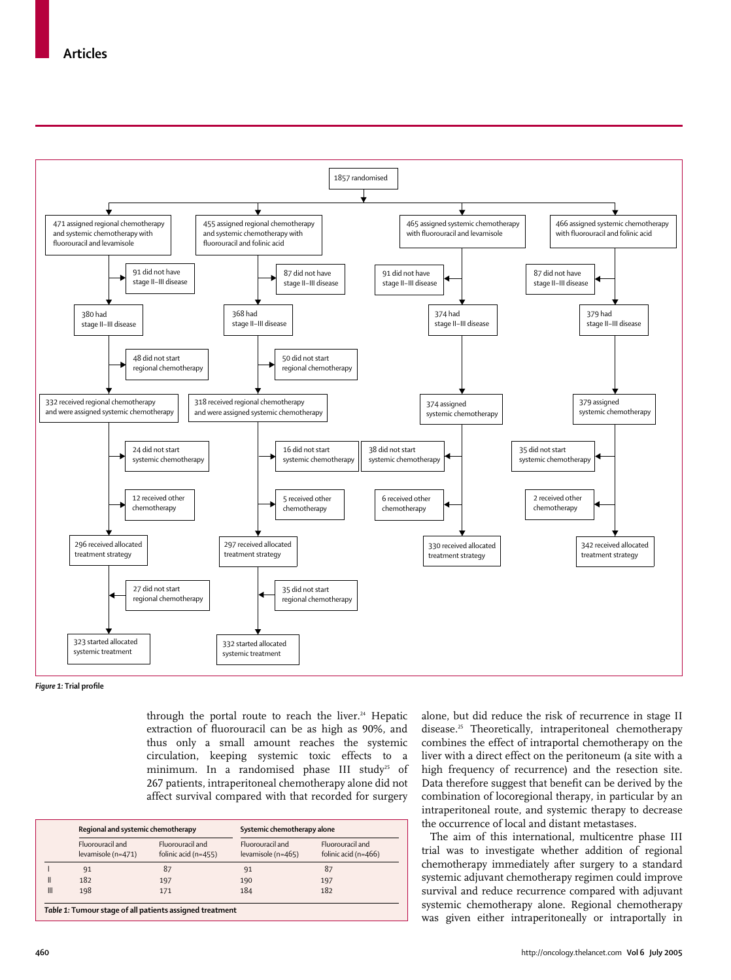

*Figure 1:* **Trial profile** 

through the portal route to reach the liver. $24$  Hepatic extraction of fluorouracil can be as high as 90%, and thus only a small amount reaches the systemic circulation, keeping systemic toxic effects to a minimum. In a randomised phase III study<sup>25</sup> of 267 patients, intraperitoneal chemotherapy alone did not affect survival compared with that recorded for surgery

|     | Regional and systemic chemotherapy            |                                                 | Systemic chemotherapy alone            |                                                 |
|-----|-----------------------------------------------|-------------------------------------------------|----------------------------------------|-------------------------------------------------|
|     | <b>Eluorouracil and</b><br>levamisole (n=471) | <b>Eluorouracil and</b><br>folinic acid (n=455) | Fluorouracil and<br>levamisole (n=465) | <b>Eluorouracil and</b><br>folinic acid (n=466) |
|     | 91                                            | 87                                              | 91                                     | 87                                              |
| Ш   | 182                                           | 197                                             | 190                                    | 197                                             |
| III | 198                                           | 171                                             | 184                                    | 182                                             |

alone, but did reduce the risk of recurrence in stage II disease.<sup>25</sup> Theoretically, intraperitoneal chemotherapy combines the effect of intraportal chemotherapy on the liver with a direct effect on the peritoneum (a site with a high frequency of recurrence) and the resection site. Data therefore suggest that benefit can be derived by the combination of locoregional therapy, in particular by an intraperitoneal route, and systemic therapy to decrease the occurrence of local and distant metastases.

The aim of this international, multicentre phase III trial was to investigate whether addition of regional chemotherapy immediately after surgery to a standard systemic adjuvant chemotherapy regimen could improve survival and reduce recurrence compared with adjuvant systemic chemotherapy alone. Regional chemotherapy was given either intraperitoneally or intraportally in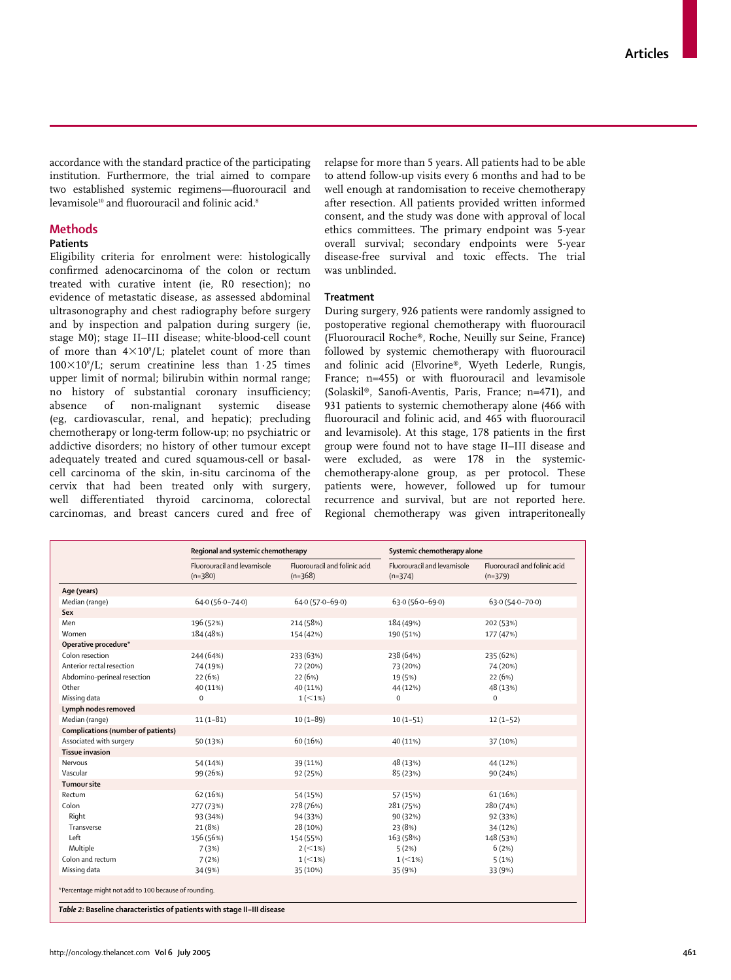accordance with the standard practice of the participating institution. Furthermore, the trial aimed to compare two established systemic regimens—fluorouracil and levamisole<sup>10</sup> and fluorouracil and folinic acid.<sup>8</sup>

## **Methods**

## **Patients**

Eligibility criteria for enrolment were: histologically confirmed adenocarcinoma of the colon or rectum treated with curative intent (ie, R0 resection); no evidence of metastatic disease, as assessed abdominal ultrasonography and chest radiography before surgery and by inspection and palpation during surgery (ie, stage M0); stage II–III disease; white-blood-cell count of more than  $4\times10^9$ /L; platelet count of more than  $100\times10^{9}/L$ ; serum creatinine less than 1.25 times upper limit of normal; bilirubin within normal range; no history of substantial coronary insufficiency; absence of non-malignant systemic disease (eg, cardiovascular, renal, and hepatic); precluding chemotherapy or long-term follow-up; no psychiatric or addictive disorders; no history of other tumour except adequately treated and cured squamous-cell or basalcell carcinoma of the skin, in-situ carcinoma of the cervix that had been treated only with surgery, well differentiated thyroid carcinoma, colorectal carcinomas, and breast cancers cured and free of

relapse for more than 5 years. All patients had to be able to attend follow-up visits every 6 months and had to be well enough at randomisation to receive chemotherapy after resection. All patients provided written informed consent, and the study was done with approval of local ethics committees. The primary endpoint was 5-year overall survival; secondary endpoints were 5-year disease-free survival and toxic effects. The trial was unblinded.

## **Treatment**

During surgery, 926 patients were randomly assigned to postoperative regional chemotherapy with fluorouracil (Fluorouracil Roche®, Roche, Neuilly sur Seine, France) followed by systemic chemotherapy with fluorouracil and folinic acid (Elvorine®, Wyeth Lederle, Rungis, France; n=455) or with fluorouracil and levamisole (Solaskil®, Sanofi-Aventis, Paris, France; n=471), and 931 patients to systemic chemotherapy alone (466 with fluorouracil and folinic acid, and 465 with fluorouracil and levamisole). At this stage, 178 patients in the first group were found not to have stage II–III disease and were excluded, as were 178 in the systemicchemotherapy-alone group, as per protocol. These patients were, however, followed up for tumour recurrence and survival, but are not reported here. Regional chemotherapy was given intraperitoneally

|                                    | Regional and systemic chemotherapy              |                                            | Systemic chemotherapy alone                     |                                            |
|------------------------------------|-------------------------------------------------|--------------------------------------------|-------------------------------------------------|--------------------------------------------|
|                                    | <b>Fluorouracil and levamisole</b><br>$(n=380)$ | Fluorouracil and folinic acid<br>$(n=368)$ | <b>Fluorouracil and levamisole</b><br>$(n=374)$ | Fluorouracil and folinic acid<br>$(n=379)$ |
| Age (years)                        |                                                 |                                            |                                                 |                                            |
| Median (range)                     | 64.0 (56.0-74.0)                                | 64.0 (57.0-69.0)                           | 63.0 (56.0-69.0)                                | 63.0 (54.0-70.0)                           |
| <b>Sex</b>                         |                                                 |                                            |                                                 |                                            |
| Men                                | 196 (52%)                                       | 214 (58%)                                  | 184 (49%)                                       | 202 (53%)                                  |
| Women                              | 184 (48%)                                       | 154 (42%)                                  | 190 (51%)                                       | 177 (47%)                                  |
| Operative procedure*               |                                                 |                                            |                                                 |                                            |
| Colon resection                    | 244 (64%)                                       | 233 (63%)                                  | 238 (64%)                                       | 235 (62%)                                  |
| Anterior rectal resection          | 74 (19%)                                        | 72 (20%)                                   | 73 (20%)                                        | 74 (20%)                                   |
| Abdomino-perineal resection        | 22(6%)                                          | 22 (6%)                                    | 19 (5%)                                         | 22(6%)                                     |
| Other                              | 40 (11%)                                        | 40 (11%)                                   | 44 (12%)                                        | 48 (13%)                                   |
| Missing data                       | $\mathbf 0$                                     | $1 (< 1\%)$                                | $\mathbf 0$                                     | $\mathbf 0$                                |
| Lymph nodes removed                |                                                 |                                            |                                                 |                                            |
| Median (range)                     | $11(1-81)$                                      | $10(1-89)$                                 | $10(1-51)$                                      | $12(1-52)$                                 |
| Complications (number of patients) |                                                 |                                            |                                                 |                                            |
| Associated with surgery            | 50 (13%)                                        | 60 (16%)                                   | 40 (11%)                                        | 37 (10%)                                   |
| <b>Tissue invasion</b>             |                                                 |                                            |                                                 |                                            |
| Nervous                            | 54 (14%)                                        | 39 (11%)                                   | 48 (13%)                                        | 44 (12%)                                   |
| Vascular                           | 99 (26%)                                        | 92 (25%)                                   | 85 (23%)                                        | 90 (24%)                                   |
| <b>Tumour site</b>                 |                                                 |                                            |                                                 |                                            |
| Rectum                             | 62 (16%)                                        | 54 (15%)                                   | 57 (15%)                                        | 61 (16%)                                   |
| Colon                              | 277 (73%)                                       | 278 (76%)                                  | 281 (75%)                                       | 280 (74%)                                  |
| Right                              | 93 (34%)                                        | 94 (33%)                                   | 90 (32%)                                        | 92 (33%)                                   |
| Transverse                         | 21 (8%)                                         | 28 (10%)                                   | 23 (8%)                                         | 34 (12%)                                   |
| Left                               | 156 (56%)                                       | 154 (55%)                                  | 163 (58%)                                       | 148 (53%)                                  |
| Multiple                           | 7(3%)                                           | $2 (< 1\%)$                                | 5(2%)                                           | 6(2%)                                      |
| Colon and rectum                   | 7(2%)                                           | $1 (< 1\%)$                                | $1 (< 1\%)$                                     | 5(1%)                                      |
|                                    | 34 (9%)                                         | 35 (10%)                                   | 35 (9%)                                         | 33 (9%)                                    |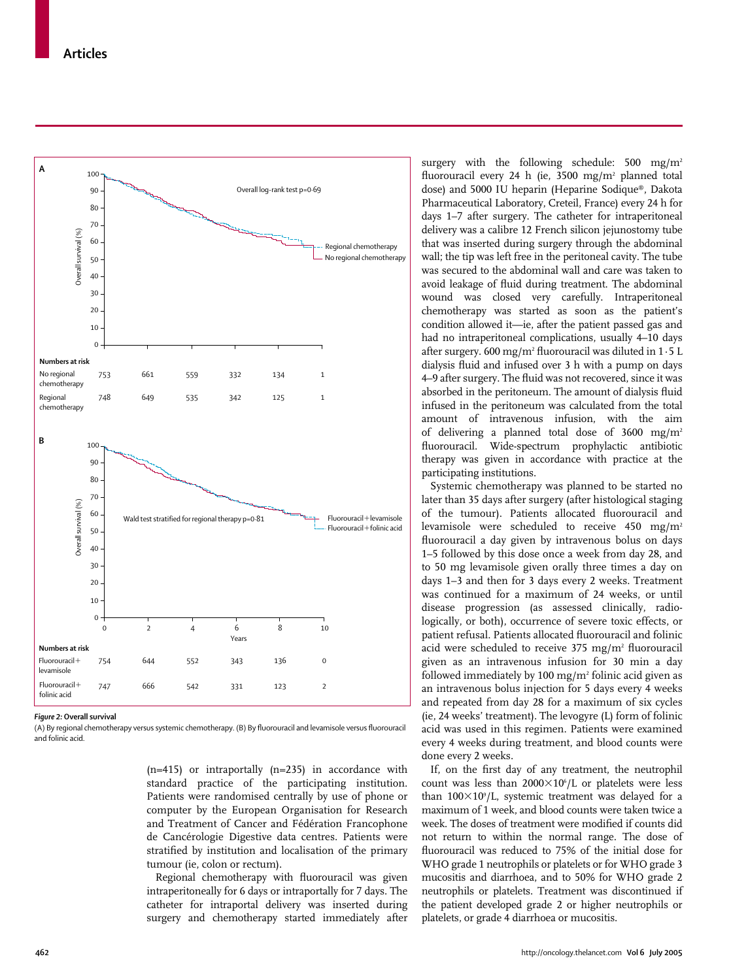

*Figure 2:* **Overall survival**

(A) By regional chemotherapy versus systemic chemotherapy. (B) By fluorouracil and levamisole versus fluorouracil and folinic acid.

> (n=415) or intraportally (n=235) in accordance with standard practice of the participating institution. Patients were randomised centrally by use of phone or computer by the European Organisation for Research and Treatment of Cancer and Fédération Francophone de Cancérologie Digestive data centres. Patients were stratified by institution and localisation of the primary tumour (ie, colon or rectum).

> Regional chemotherapy with fluorouracil was given intraperitoneally for 6 days or intraportally for 7 days. The catheter for intraportal delivery was inserted during surgery and chemotherapy started immediately after

surgery with the following schedule:  $500 \text{ mg/m}^2$ fluorouracil every 24 h (ie, 3500 mg/m<sup>2</sup> planned total dose) and 5000 IU heparin (Heparine Sodique®, Dakota Pharmaceutical Laboratory, Creteil, France) every 24 h for days 1–7 after surgery. The catheter for intraperitoneal delivery was a calibre 12 French silicon jejunostomy tube that was inserted during surgery through the abdominal wall; the tip was left free in the peritoneal cavity. The tube was secured to the abdominal wall and care was taken to avoid leakage of fluid during treatment. The abdominal wound was closed very carefully. Intraperitoneal chemotherapy was started as soon as the patient's condition allowed it—ie, after the patient passed gas and had no intraperitoneal complications, usually 4–10 days after surgery. 600 mg/m<sup>2</sup> fluorouracil was diluted in  $1.5$  L dialysis fluid and infused over 3 h with a pump on days 4–9 after surgery. The fluid was not recovered, since it was absorbed in the peritoneum. The amount of dialysis fluid infused in the peritoneum was calculated from the total amount of intravenous infusion, with the aim of delivering a planned total dose of 3600 mg/m<sup>2</sup> fluorouracil. Wide-spectrum prophylactic antibiotic therapy was given in accordance with practice at the participating institutions.

Systemic chemotherapy was planned to be started no later than 35 days after surgery (after histological staging of the tumour). Patients allocated fluorouracil and levamisole were scheduled to receive 450 mg/m2 fluorouracil a day given by intravenous bolus on days 1–5 followed by this dose once a week from day 28, and to 50 mg levamisole given orally three times a day on days 1–3 and then for 3 days every 2 weeks. Treatment was continued for a maximum of 24 weeks, or until disease progression (as assessed clinically, radiologically, or both), occurrence of severe toxic effects, or patient refusal. Patients allocated fluorouracil and folinic acid were scheduled to receive  $375 \text{ mg/m}^2$  fluorouracil given as an intravenous infusion for 30 min a day followed immediately by 100 mg/m<sup>2</sup> folinic acid given as an intravenous bolus injection for 5 days every 4 weeks and repeated from day 28 for a maximum of six cycles (ie, 24 weeks' treatment). The levogyre (L) form of folinic acid was used in this regimen. Patients were examined every 4 weeks during treatment, and blood counts were done every 2 weeks.

If, on the first day of any treatment, the neutrophil count was less than  $2000\times10^{6}/L$  or platelets were less than 100 $\times$ 10°/L, systemic treatment was delayed for a maximum of 1 week, and blood counts were taken twice a week. The doses of treatment were modified if counts did not return to within the normal range. The dose of fluorouracil was reduced to 75% of the initial dose for WHO grade 1 neutrophils or platelets or for WHO grade 3 mucositis and diarrhoea, and to 50% for WHO grade 2 neutrophils or platelets. Treatment was discontinued if the patient developed grade 2 or higher neutrophils or platelets, or grade 4 diarrhoea or mucositis.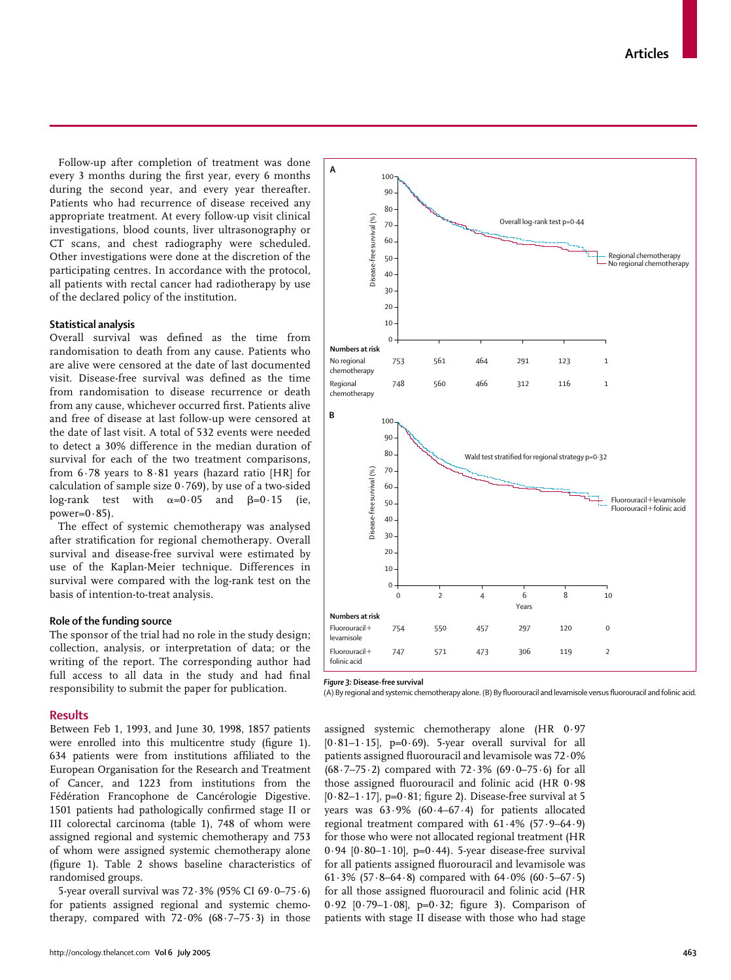Follow-up after completion of treatment was done every 3 months during the first year, every 6 months during the second year, and every year thereafter. Patients who had recurrence of disease received any appropriate treatment. At every follow-up visit clinical investigations, blood counts, liver ultrasonography or CT scans, and chest radiography were scheduled. Other investigations were done at the discretion of the participating centres. In accordance with the protocol, all patients with rectal cancer had radiotherapy by use of the declared policy of the institution.

## **Statistical analysis**

Overall survival was defined as the time from randomisation to death from any cause. Patients who are alive were censored at the date of last documented visit. Disease-free survival was defined as the time from randomisation to disease recurrence or death from any cause, whichever occurred first. Patients alive and free of disease at last follow-up were censored at the date of last visit. A total of 532 events were needed to detect a 30% difference in the median duration of survival for each of the two treatment comparisons, from  $6.78$  years to  $8.81$  years (hazard ratio [HR] for calculation of sample size  $0.769$ ), by use of a two-sided  $log-rank$  test with  $\alpha=0.05$  and  $\beta=0.15$  (ie,  $power=0.85$ ).

The effect of systemic chemotherapy was analysed after stratification for regional chemotherapy. Overall survival and disease-free survival were estimated by use of the Kaplan-Meier technique. Differences in survival were compared with the log-rank test on the basis of intention-to-treat analysis.

### **Role of the funding source**

The sponsor of the trial had no role in the study design; collection, analysis, or interpretation of data; or the writing of the report. The corresponding author had full access to all data in the study and had final responsibility to submit the paper for publication.

#### **Results**

Between Feb 1, 1993, and June 30, 1998, 1857 patients were enrolled into this multicentre study (figure 1). 634 patients were from institutions affiliated to the European Organisation for the Research and Treatment of Cancer, and 1223 from institutions from the Fédération Francophone de Cancérologie Digestive. 1501 patients had pathologically confirmed stage II or III colorectal carcinoma (table 1), 748 of whom were assigned regional and systemic chemotherapy and 753 of whom were assigned systemic chemotherapy alone (figure 1). Table 2 shows baseline characteristics of randomised groups.

5-year overall survival was 72·3% (95% CI 69·0–75·6) for patients assigned regional and systemic chemotherapy, compared with  $72.0\%$  (68.7–75.3) in those



*Figure 3:* **Disease-free survival** 

(A) By regional and systemic chemotherapy alone. (B) By fluorouracil and levamisole versus fluorouracil and folinic acid.

assigned systemic chemotherapy alone (HR 0·97 [ $0.81-1.15$ ], p= $0.69$ ). 5-year overall survival for all patients assigned fluorouracil and levamisole was 72·0% (68.7–75.2) compared with  $72.3\%$  (69.0–75.6) for all those assigned fluorouracil and folinic acid (HR 0·98  $[0.82-1.17]$ , p= $0.81$ ; figure 2). Disease-free survival at 5 years was 63·9% (60·4–67·4) for patients allocated regional treatment compared with 61·4% (57·9–64·9) for those who were not allocated regional treatment (HR 0.94  $[0.80-1.10]$ , p=0.44). 5-year disease-free survival for all patients assigned fluorouracil and levamisole was 61·3% (57·8–64·8) compared with 64·0% (60·5–67·5) for all those assigned fluorouracil and folinic acid (HR 0.92  $[0.79-1.08]$ , p=0.32; figure 3). Comparison of patients with stage II disease with those who had stage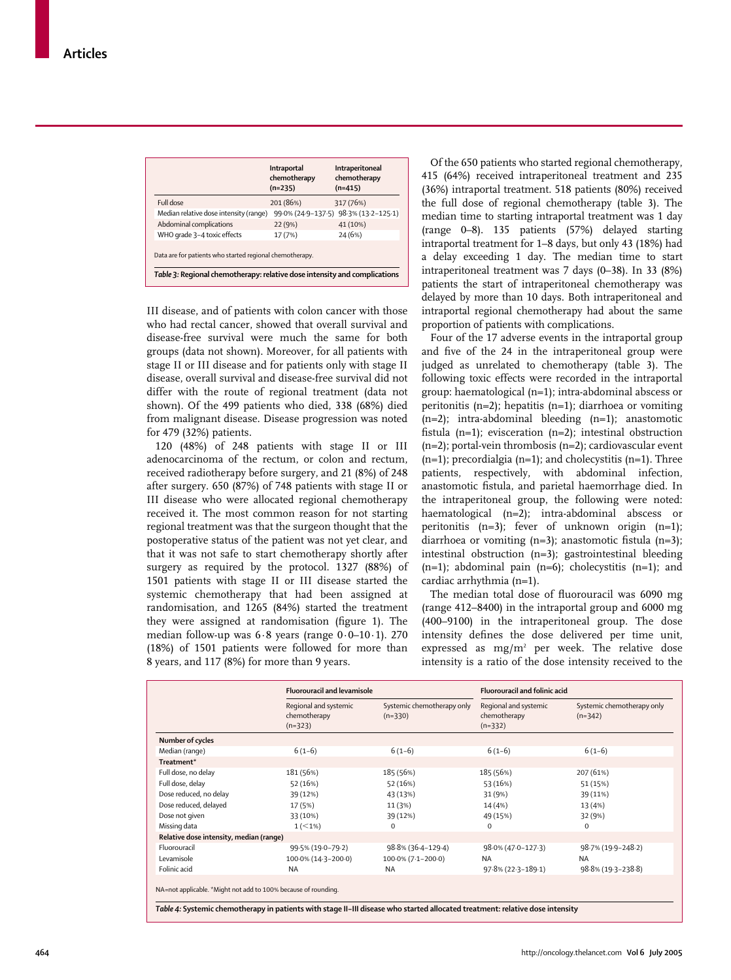|                                                                           | Intraportal<br>chemotherapy<br>$(n=235)$ | Intraperitoneal<br>chemotherapy<br>$(n=415)$ |  |  |  |
|---------------------------------------------------------------------------|------------------------------------------|----------------------------------------------|--|--|--|
| Full dose                                                                 | 201 (86%)                                | 317 (76%)                                    |  |  |  |
| Median relative dose intensity (range)                                    |                                          | 99.0% (24.9-137.5) 98.3% (13.2-125.1)        |  |  |  |
| Abdominal complications                                                   | 22(9%)                                   | 41 (10%)                                     |  |  |  |
| WHO grade 3-4 toxic effects                                               | 17 (7%)                                  | 24 (6%)                                      |  |  |  |
| Data are for patients who started regional chemotherapy.                  |                                          |                                              |  |  |  |
| Table 3: Regional chemotherapy: relative dose intensity and complications |                                          |                                              |  |  |  |

III disease, and of patients with colon cancer with those who had rectal cancer, showed that overall survival and disease-free survival were much the same for both groups (data not shown). Moreover, for all patients with stage II or III disease and for patients only with stage II disease, overall survival and disease-free survival did not differ with the route of regional treatment (data not shown). Of the 499 patients who died, 338 (68%) died from malignant disease. Disease progression was noted for 479 (32%) patients.

120 (48%) of 248 patients with stage II or III adenocarcinoma of the rectum, or colon and rectum, received radiotherapy before surgery, and 21 (8%) of 248 after surgery. 650 (87%) of 748 patients with stage II or III disease who were allocated regional chemotherapy received it. The most common reason for not starting regional treatment was that the surgeon thought that the postoperative status of the patient was not yet clear, and that it was not safe to start chemotherapy shortly after surgery as required by the protocol. 1327 (88%) of 1501 patients with stage II or III disease started the systemic chemotherapy that had been assigned at randomisation, and 1265 (84%) started the treatment they were assigned at randomisation (figure 1). The median follow-up was 6·8 years (range 0·0–10·1). 270 (18%) of 1501 patients were followed for more than 8 years, and 117 (8%) for more than 9 years.

Of the 650 patients who started regional chemotherapy, 415 (64%) received intraperitoneal treatment and 235 (36%) intraportal treatment. 518 patients (80%) received the full dose of regional chemotherapy (table 3). The median time to starting intraportal treatment was 1 day (range 0–8). 135 patients (57%) delayed starting intraportal treatment for 1–8 days, but only 43 (18%) had a delay exceeding 1 day. The median time to start intraperitoneal treatment was 7 days (0–38). In 33 (8%) patients the start of intraperitoneal chemotherapy was delayed by more than 10 days. Both intraperitoneal and intraportal regional chemotherapy had about the same proportion of patients with complications.

Four of the 17 adverse events in the intraportal group and five of the 24 in the intraperitoneal group were judged as unrelated to chemotherapy (table 3). The following toxic effects were recorded in the intraportal group: haematological (n=1); intra-abdominal abscess or peritonitis (n=2); hepatitis (n=1); diarrhoea or vomiting (n=2); intra-abdominal bleeding (n=1); anastomotic fistula (n=1); evisceration (n=2); intestinal obstruction (n=2); portal-vein thrombosis (n=2); cardiovascular event (n=1); precordialgia (n=1); and cholecystitis (n=1). Three patients, respectively, with abdominal infection, anastomotic fistula, and parietal haemorrhage died. In the intraperitoneal group, the following were noted: haematological (n=2); intra-abdominal abscess or peritonitis (n=3); fever of unknown origin (n=1); diarrhoea or vomiting (n=3); anastomotic fistula (n=3); intestinal obstruction (n=3); gastrointestinal bleeding  $(n=1)$ ; abdominal pain  $(n=6)$ ; cholecystitis  $(n=1)$ ; and cardiac arrhythmia (n=1).

The median total dose of fluorouracil was 6090 mg (range 412–8400) in the intraportal group and 6000 mg (400–9100) in the intraperitoneal group. The dose intensity defines the dose delivered per time unit, expressed as  $mg/m^2$  per week. The relative dose intensity is a ratio of the dose intensity received to the

|                                         |                                                    | <b>Fluorouracil and levamisole</b>      |                                                    | <b>Fluorouracil and folinic acid</b>    |
|-----------------------------------------|----------------------------------------------------|-----------------------------------------|----------------------------------------------------|-----------------------------------------|
|                                         | Regional and systemic<br>chemotherapy<br>$(n=323)$ | Systemic chemotherapy only<br>$(n=330)$ | Regional and systemic<br>chemotherapy<br>$(n=332)$ | Systemic chemotherapy only<br>$(n=342)$ |
| Number of cycles                        |                                                    |                                         |                                                    |                                         |
| Median (range)                          | $6(1-6)$                                           | $6(1-6)$                                | $6(1-6)$                                           | $6(1-6)$                                |
| Treatment*                              |                                                    |                                         |                                                    |                                         |
| Full dose, no delay                     | 181 (56%)                                          | 185 (56%)                               | 185 (56%)                                          | 207 (61%)                               |
| Full dose, delay                        | 52 (16%)                                           | 52 (16%)                                | 53 (16%)                                           | 51 (15%)                                |
| Dose reduced, no delay                  | 39 (12%)                                           | 43 (13%)                                | 31 (9%)                                            | 39 (11%)                                |
| Dose reduced, delayed                   | 17 (5%)                                            | 11 (3%)                                 | 14 (4%)                                            | 13 (4%)                                 |
| Dose not given                          | 33 (10%)                                           | 39 (12%)                                | 49 (15%)                                           | 32 (9%)                                 |
| Missing data                            | $1 (< 1\%)$                                        | $\mathbf 0$                             | $\mathbf 0$                                        | 0                                       |
| Relative dose intensity, median (range) |                                                    |                                         |                                                    |                                         |
| Fluorouracil                            | 99.5% (19.0-79.2)                                  | 98.8% (36.4-129.4)                      | 98.0% (47.0-127.3)                                 | 98.7% (19.9-248.2)                      |
| Levamisole                              | 100.0% (14.3-200.0)                                | $100.0\%$ (7.1-200.0)                   | <b>NA</b>                                          | <b>NA</b>                               |
| Folinic acid                            | <b>NA</b>                                          | <b>NA</b>                               | 97.8% (22.3-189.1)                                 | 98.8% (19.3-238.8)                      |

*Table 4:* **Systemic chemotherapy in patients with stage II–III disease who started allocated treatment: relative dose intensity**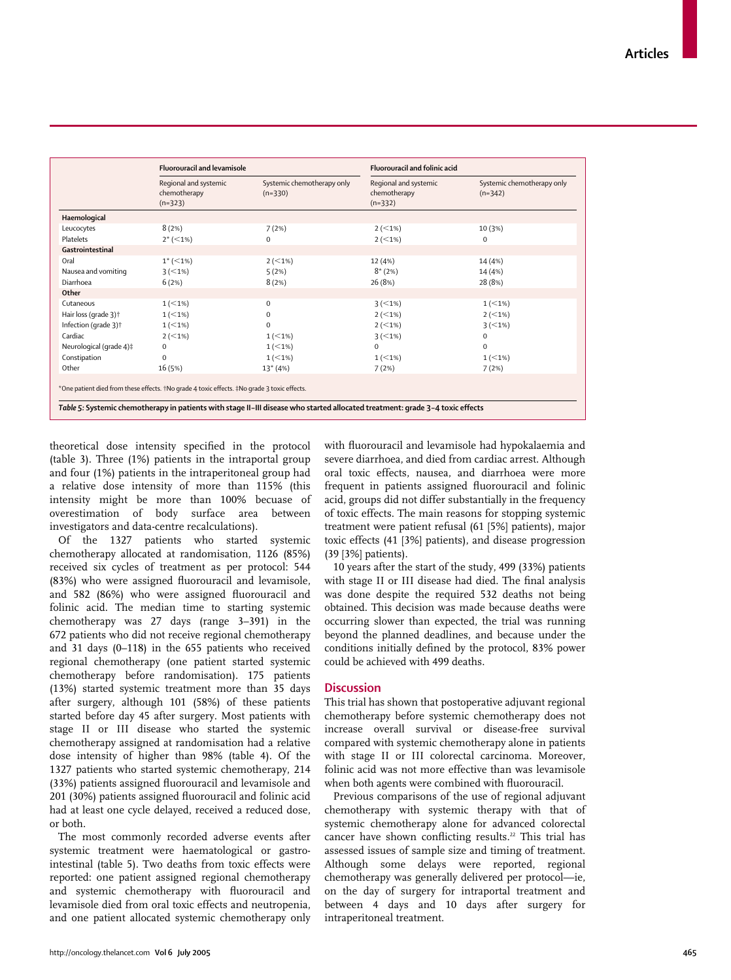|                                  | <b>Fluorouracil and levamisole</b>                                                          |                                         | <b>Fluorouracil and folinic acid</b>               |                                         |
|----------------------------------|---------------------------------------------------------------------------------------------|-----------------------------------------|----------------------------------------------------|-----------------------------------------|
|                                  | Regional and systemic<br>chemotherapy<br>$(n=323)$                                          | Systemic chemotherapy only<br>$(n=330)$ | Regional and systemic<br>chemotherapy<br>$(n=332)$ | Systemic chemotherapy only<br>$(n=342)$ |
| Haemological                     |                                                                                             |                                         |                                                    |                                         |
| Leucocytes                       | 8(2%)                                                                                       | 7(2%)                                   | $2 (< 1\%)$                                        | 10 (3%)                                 |
| <b>Platelets</b>                 | $2^*(-1%)$                                                                                  | $\mathbf 0$                             | $2 (< 1\%)$                                        | $\mathbf 0$                             |
| Gastrointestinal                 |                                                                                             |                                         |                                                    |                                         |
| Oral                             | $1^*(-1%)$                                                                                  | $2 (< 1\%)$                             | 12 (4%)                                            | 14 (4%)                                 |
| Nausea and vomiting              | $3 (< 1\%)$                                                                                 | 5(2%)                                   | $8*(2%)$                                           | 14 (4%)                                 |
| Diarrhoea                        | 6(2%)                                                                                       | 8(2%)                                   | 26 (8%)                                            | 28 (8%)                                 |
| Other                            |                                                                                             |                                         |                                                    |                                         |
| Cutaneous                        | $1 (< 1\%)$                                                                                 | $\mathbf 0$                             | $3 (< 1\%)$                                        | $1 (< 1\%)$                             |
| Hair loss (grade 3) <sup>+</sup> | $1 (< 1\%)$                                                                                 | $\mathbf 0$                             | $2 (< 1\%)$                                        | $2 (< 1\%)$                             |
| Infection (grade 3) <sup>+</sup> | $1 (< 1\%)$                                                                                 | $\Omega$                                | $2 (< 1\%)$                                        | $3 (< 1\%)$                             |
| Cardiac                          | $2 (< 1\%)$                                                                                 | $1 (< 1\%)$                             | $3 (< 1\%)$                                        | $\mathbf 0$                             |
| Neurological (grade 4)#          | $\Omega$                                                                                    | $1 (< 1\%)$                             | $\Omega$                                           | $\Omega$                                |
| Constipation                     | $\Omega$                                                                                    | $1 (< 1\%)$                             | $1 (< 1\%)$                                        | $1 (< 1\%)$                             |
| Other                            | 16 (5%)                                                                                     | $13*(4%)$                               | 7(2%)                                              | 7(2%)                                   |
|                                  | *One patient died from these effects. †No grade 4 toxic effects. ‡No grade 3 toxic effects. |                                         |                                                    |                                         |

theoretical dose intensity specified in the protocol (table 3). Three (1%) patients in the intraportal group and four (1%) patients in the intraperitoneal group had a relative dose intensity of more than 115% (this intensity might be more than 100% becuase of overestimation of body surface area between investigators and data-centre recalculations).

Of the 1327 patients who started systemic chemotherapy allocated at randomisation, 1126 (85%) received six cycles of treatment as per protocol: 544 (83%) who were assigned fluorouracil and levamisole, and 582 (86%) who were assigned fluorouracil and folinic acid. The median time to starting systemic chemotherapy was 27 days (range 3–391) in the 672 patients who did not receive regional chemotherapy and 31 days (0–118) in the 655 patients who received regional chemotherapy (one patient started systemic chemotherapy before randomisation). 175 patients (13%) started systemic treatment more than 35 days after surgery, although 101 (58%) of these patients started before day 45 after surgery. Most patients with stage II or III disease who started the systemic chemotherapy assigned at randomisation had a relative dose intensity of higher than 98% (table 4). Of the 1327 patients who started systemic chemotherapy, 214 (33%) patients assigned fluorouracil and levamisole and 201 (30%) patients assigned fluorouracil and folinic acid had at least one cycle delayed, received a reduced dose, or both.

The most commonly recorded adverse events after systemic treatment were haematological or gastrointestinal (table 5). Two deaths from toxic effects were reported: one patient assigned regional chemotherapy and systemic chemotherapy with fluorouracil and levamisole died from oral toxic effects and neutropenia, and one patient allocated systemic chemotherapy only with fluorouracil and levamisole had hypokalaemia and severe diarrhoea, and died from cardiac arrest. Although oral toxic effects, nausea, and diarrhoea were more frequent in patients assigned fluorouracil and folinic acid, groups did not differ substantially in the frequency of toxic effects. The main reasons for stopping systemic treatment were patient refusal (61 [5%] patients), major toxic effects (41 [3%] patients), and disease progression (39 [3%] patients).

10 years after the start of the study, 499 (33%) patients with stage II or III disease had died. The final analysis was done despite the required 532 deaths not being obtained. This decision was made because deaths were occurring slower than expected, the trial was running beyond the planned deadlines, and because under the conditions initially defined by the protocol, 83% power could be achieved with 499 deaths.

## **Discussion**

This trial has shown that postoperative adjuvant regional chemotherapy before systemic chemotherapy does not increase overall survival or disease-free survival compared with systemic chemotherapy alone in patients with stage II or III colorectal carcinoma. Moreover, folinic acid was not more effective than was levamisole when both agents were combined with fluorouracil.

Previous comparisons of the use of regional adjuvant chemotherapy with systemic therapy with that of systemic chemotherapy alone for advanced colorectal cancer have shown conflicting results.<sup>22</sup> This trial has assessed issues of sample size and timing of treatment. Although some delays were reported, regional chemotherapy was generally delivered per protocol—ie, on the day of surgery for intraportal treatment and between 4 days and 10 days after surgery for intraperitoneal treatment.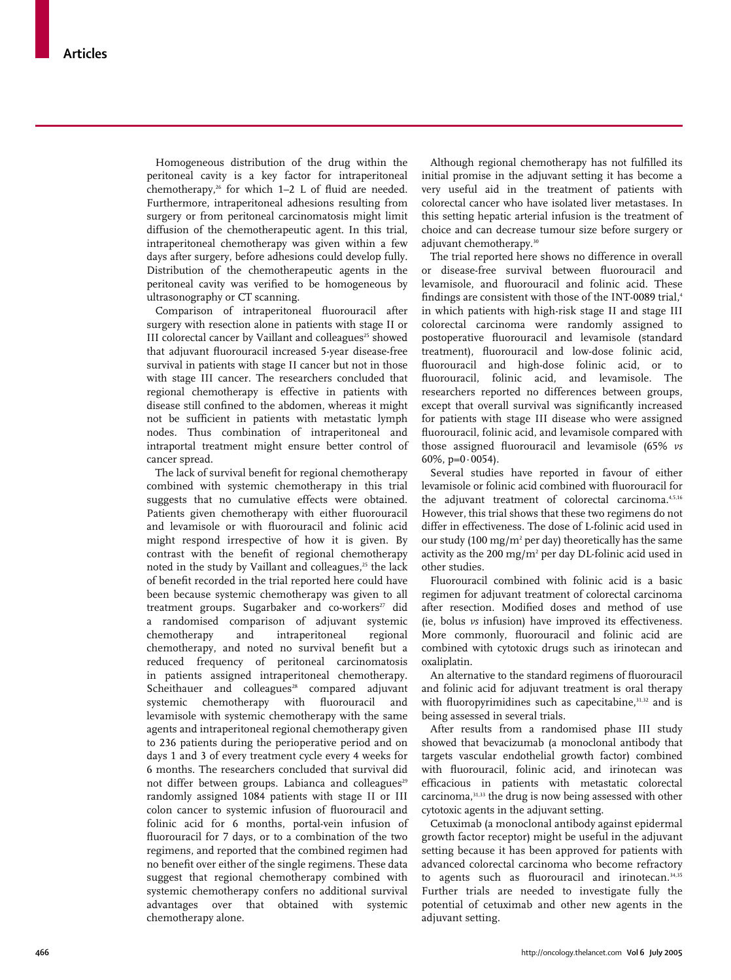Homogeneous distribution of the drug within the peritoneal cavity is a key factor for intraperitoneal chemotherapy,<sup>26</sup> for which 1–2 L of fluid are needed. Furthermore, intraperitoneal adhesions resulting from surgery or from peritoneal carcinomatosis might limit diffusion of the chemotherapeutic agent. In this trial, intraperitoneal chemotherapy was given within a few days after surgery, before adhesions could develop fully. Distribution of the chemotherapeutic agents in the peritoneal cavity was verified to be homogeneous by ultrasonography or CT scanning.

Comparison of intraperitoneal fluorouracil after surgery with resection alone in patients with stage II or III colorectal cancer by Vaillant and colleagues<sup>25</sup> showed that adjuvant fluorouracil increased 5-year disease-free survival in patients with stage II cancer but not in those with stage III cancer. The researchers concluded that regional chemotherapy is effective in patients with disease still confined to the abdomen, whereas it might not be sufficient in patients with metastatic lymph nodes. Thus combination of intraperitoneal and intraportal treatment might ensure better control of cancer spread.

The lack of survival benefit for regional chemotherapy combined with systemic chemotherapy in this trial suggests that no cumulative effects were obtained. Patients given chemotherapy with either fluorouracil and levamisole or with fluorouracil and folinic acid might respond irrespective of how it is given. By contrast with the benefit of regional chemotherapy noted in the study by Vaillant and colleagues, $25$  the lack of benefit recorded in the trial reported here could have been because systemic chemotherapy was given to all treatment groups. Sugarbaker and co-workers<sup>27</sup> did a randomised comparison of adjuvant systemic chemotherapy and intraperitoneal regional chemotherapy, and noted no survival benefit but a reduced frequency of peritoneal carcinomatosis in patients assigned intraperitoneal chemotherapy. Scheithauer and colleagues<sup>28</sup> compared adjuvant systemic chemotherapy with fluorouracil and levamisole with systemic chemotherapy with the same agents and intraperitoneal regional chemotherapy given to 236 patients during the perioperative period and on days 1 and 3 of every treatment cycle every 4 weeks for 6 months. The researchers concluded that survival did not differ between groups. Labianca and colleagues<sup>29</sup> randomly assigned 1084 patients with stage II or III colon cancer to systemic infusion of fluorouracil and folinic acid for 6 months, portal-vein infusion of fluorouracil for 7 days, or to a combination of the two regimens, and reported that the combined regimen had no benefit over either of the single regimens. These data suggest that regional chemotherapy combined with systemic chemotherapy confers no additional survival advantages over that obtained with systemic chemotherapy alone.

Although regional chemotherapy has not fulfilled its initial promise in the adjuvant setting it has become a very useful aid in the treatment of patients with colorectal cancer who have isolated liver metastases. In this setting hepatic arterial infusion is the treatment of choice and can decrease tumour size before surgery or adjuvant chemotherapy.<sup>30</sup>

The trial reported here shows no difference in overall or disease-free survival between fluorouracil and levamisole, and fluorouracil and folinic acid. These findings are consistent with those of the INT-0089 trial.<sup>4</sup> in which patients with high-risk stage II and stage III colorectal carcinoma were randomly assigned to postoperative fluorouracil and levamisole (standard treatment), fluorouracil and low-dose folinic acid, fluorouracil and high-dose folinic acid, or to fluorouracil, folinic acid, and levamisole. The researchers reported no differences between groups, except that overall survival was significantly increased for patients with stage III disease who were assigned fluorouracil, folinic acid, and levamisole compared with those assigned fluorouracil and levamisole (65% *vs* 60%,  $p=0.0054$ ).

Several studies have reported in favour of either levamisole or folinic acid combined with fluorouracil for the adjuvant treatment of colorectal carcinoma.<sup>4,5,16</sup> However, this trial shows that these two regimens do not differ in effectiveness. The dose of L-folinic acid used in our study (100 mg/m<sup>2</sup> per day) theoretically has the same activity as the 200 mg/m<sup>2</sup> per day DL-folinic acid used in other studies.

Fluorouracil combined with folinic acid is a basic regimen for adjuvant treatment of colorectal carcinoma after resection. Modified doses and method of use (ie, bolus *vs* infusion) have improved its effectiveness. More commonly, fluorouracil and folinic acid are combined with cytotoxic drugs such as irinotecan and oxaliplatin.

An alternative to the standard regimens of fluorouracil and folinic acid for adjuvant treatment is oral therapy with fluoropyrimidines such as capecitabine,<sup>31,32</sup> and is being assessed in several trials.

After results from a randomised phase III study showed that bevacizumab (a monoclonal antibody that targets vascular endothelial growth factor) combined with fluorouracil, folinic acid, and irinotecan was efficacious in patients with metastatic colorectal carcinoma,31,33 the drug is now being assessed with other cytotoxic agents in the adjuvant setting.

Cetuximab (a monoclonal antibody against epidermal growth factor receptor) might be useful in the adjuvant setting because it has been approved for patients with advanced colorectal carcinoma who become refractory to agents such as fluorouracil and irinotecan.<sup>34,35</sup> Further trials are needed to investigate fully the potential of cetuximab and other new agents in the adjuvant setting.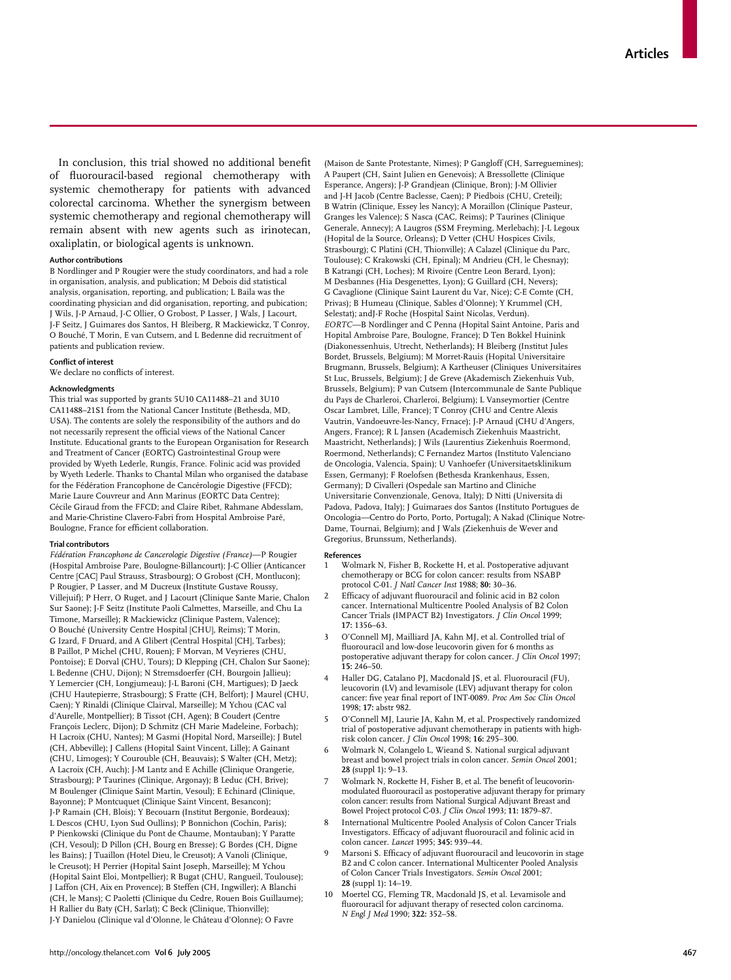In conclusion, this trial showed no additional benefit of fluorouracil-based regional chemotherapy with systemic chemotherapy for patients with advanced colorectal carcinoma. Whether the synergism between systemic chemotherapy and regional chemotherapy will remain absent with new agents such as irinotecan, oxaliplatin, or biological agents is unknown.

#### **Author contributions**

B Nordlinger and P Rougier were the study coordinators, and had a role in organisation, analysis, and publication; M Debois did statistical analysis, organisation, reporting, and publication; L Baila was the coordinating physician and did organisation, reporting, and pubication; J Wils, J-P Arnaud, J-C Ollier, O Grobost, P Lasser, J Wals, J Lacourt, J-F Seitz, J Guimares dos Santos, H Bleiberg, R Mackiewickz, T Conroy, O Bouché, T Morin, E van Cutsem, and L Bedenne did recruitment of patients and publication review.

#### **Conflict of interest**

We declare no conflicts of interest.

#### **Acknowledgments**

This trial was supported by grants 5U10 CA11488–21 and 3U10 CA11488–21S1 from the National Cancer Institute (Bethesda, MD, USA). The contents are solely the responsibility of the authors and do not necessarily represent the official views of the National Cancer Institute. Educational grants to the European Organisation for Research and Treatment of Cancer (EORTC) Gastrointestinal Group were provided by Wyeth Lederle, Rungis, France. Folinic acid was provided by Wyeth Lederle. Thanks to Chantal Milan who organised the database for the Fédération Francophone de Cancérologie Digestive (FFCD); Marie Laure Couvreur and Ann Marinus (EORTC Data Centre); Cécile Giraud from the FFCD; and Claire Ribet, Rahmane Abdesslam, and Marie-Christine Clavero-Fabri from Hospital Ambroise Paré, Boulogne, France for efficient collaboration.

#### **Trial contributors**

*Fédération Francophone de Cancerologie Digestive (France)*—P Rougier (Hospital Ambroise Pare, Boulogne-Billancourt); J-C Ollier (Anticancer Centre [CAC] Paul Strauss, Strasbourg); O Grobost (CH, Montlucon); P Rougier, P Lasser, and M Ducreux (Institute Gustave Roussy, Villejuif); P Herr, O Ruget, and J Lacourt (Clinique Sante Marie, Chalon Sur Saone); J-F Seitz (Institute Paoli Calmettes, Marseille, and Chu La Timone, Marseille); R Mackiewickz (Clinique Pastem, Valence); O Bouché (University Centre Hospital [CHU], Reims); T Morin, G Izard, F Druard, and A Glibert (Central Hospital [CH], Tarbes); B Paillot, P Michel (CHU, Rouen); F Morvan, M Veyrieres (CHU, Pontoise); E Dorval (CHU, Tours); D Klepping (CH, Chalon Sur Saone); L Bedenne (CHU, Dijon); N Stremsdoerfer (CH, Bourgoin Jallieu); Y Lemercier (CH, Longjumeau); J-L Baroni (CH, Martigues); D Jaeck (CHU Hautepierre, Strasbourg); S Fratte (CH, Belfort); J Maurel (CHU, Caen); Y Rinaldi (Clinique Clairval, Marseille); M Ychou (CAC val d'Aurelle, Montpellier); B Tissot (CH, Agen); B Coudert (Centre François Leclerc, Dijon); D Schmitz (CH Marie Madeleine, Forbach); H Lacroix (CHU, Nantes); M Gasmi (Hopital Nord, Marseille); J Butel (CH, Abbeville); J Callens (Hopital Saint Vincent, Lille); A Gainant (CHU, Limoges); Y Courouble (CH, Beauvais); S Walter (CH, Metz); A Lacroix (CH, Auch); J-M Lantz and E Achille (Clinique Orangerie, Strasbourg); P Taurines (Clinique, Argonay); B Leduc (CH, Brive); M Boulenger (Clinique Saint Martin, Vesoul); E Echinard (Clinique, Bayonne); P Montcuquet (Clinique Saint Vincent, Besancon); J-P Ramain (CH, Blois); Y Becouarn (Institut Bergonie, Bordeaux); L Descos (CHU, Lyon Sud Oullins); P Bonnichon (Cochin, Paris); P Pienkowski (Clinique du Pont de Chaume, Montauban); Y Paratte (CH, Vesoul); D Pillon (CH, Bourg en Bresse); G Bordes (CH, Digne les Bains); J Tuaillon (Hotel Dieu, le Creusot); A Vanoli (Clinique, le Creusot); H Perrier (Hopital Saint Joseph, Marseille); M Ychou (Hopital Saint Eloi, Montpellier); R Bugat (CHU, Rangueil, Toulouse); J Laffon (CH, Aix en Provence); B Steffen (CH, Ingwiller); A Blanchi (CH, le Mans); C Paoletti (Clinique du Cedre, Rouen Bois Guillaume); H Rallier du Baty (CH, Sarlat); C Beck (Clinique, Thionville); J-Y Danielou (Clinique val d'Olonne, le Château d'Olonne); O Favre

(Maison de Sante Protestante, Nimes); P Gangloff (CH, Sarreguemines); A Paupert (CH, Saint Julien en Genevois); A Bressollette (Clinique Esperance, Angers); J-P Grandjean (Clinique, Bron); J-M Ollivier and J-H Jacob (Centre Baclesse, Caen); P Piedbois (CHU, Creteil); B Watrin (Clinique, Essey les Nancy); A Moraillon (Clinique Pasteur, Granges les Valence); S Nasca (CAC, Reims); P Taurines (Clinique Generale, Annecy); A Laugros (SSM Freyming, Merlebach); J-L Legoux (Hopital de la Source, Orleans); D Vetter (CHU Hospices Civils, Strasbourg); C Platini (CH, Thionville); A Calazel (Clinique du Parc, Toulouse); C Krakowski (CH, Epinal); M Andrieu (CH, le Chesnay); B Katrangi (CH, Loches); M Rivoire (Centre Leon Berard, Lyon); M Desbannes (Hia Desgenettes, Lyon); G Guillard (CH, Nevers); G Cavaglione (Clinique Saint Laurent du Var, Nice); C-E Comte (CH, Privas); B Humeau (Clinique, Sables d'Olonne); Y Krummel (CH, Selestat); andJ-F Roche (Hospital Saint Nicolas, Verdun). *EORTC—*B Nordlinger and C Penna (Hopital Saint Antoine, Paris and Hopital Ambroise Pare, Boulogne, France); D Ten Bokkel Huinink (Diakonessenhuis, Utrecht, Netherlands); H Bleiberg (Institut Jules Bordet, Brussels, Belgium); M Morret-Rauis (Hopital Universitaire Brugmann, Brussels, Belgium); A Kartheuser (Cliniques Universitaires St Luc, Brussels, Belgium); J de Greve (Akademisch Ziekenhuis Vub, Brussels, Belgium); P van Cutsem (Intercommunale de Sante Publique du Pays de Charleroi, Charleroi, Belgium); L Vanseymortier (Centre Oscar Lambret, Lille, France); T Conroy (CHU and Centre Alexis Vautrin, Vandoeuvre-les-Nancy, Frnace); J-P Arnaud (CHU d'Angers, Angers, France); R L Jansen (Academisch Ziekenhuis Maastricht, Maastricht, Netherlands); J Wils (Laurentius Ziekenhuis Roermond, Roermond, Netherlands); C Fernandez Martos (Instituto Valenciano de Oncologia, Valencia, Spain); U Vanhoefer (Universitaetsklinikum Essen, Germany); F Roelofsen (Bethesda Krankenhaus, Essen, Germany); D Civalleri (Ospedale san Martino and Cliniche Universitarie Convenzionale, Genova, Italy); D Nitti (Universita di Padova, Padova, Italy); J Guimaraes dos Santos (Instituto Portugues de Oncologia—Centro do Porto, Porto, Portugal); A Nakad (Clinique Notre-Dame, Tournai, Belgium); and J Wals (Ziekenhuis de Wever and Gregorius, Brunssum, Netherlands).

#### **References**

- 1 Wolmark N, Fisher B, Rockette H, et al. Postoperative adjuvant chemotherapy or BCG for colon cancer: results from NSABP protocol C-01. *J Natl Cancer Inst* 1988; **80:** 30–36.
- 2 Efficacy of adjuvant fluorouracil and folinic acid in B2 colon cancer. International Multicentre Pooled Analysis of B2 Colon Cancer Trials (IMPACT B2) Investigators. *J Clin Oncol* 1999; **17:** 1356–63.
- 3 O'Connell MJ, Mailliard JA, Kahn MJ, et al. Controlled trial of fluorouracil and low-dose leucovorin given for 6 months as postoperative adjuvant therapy for colon cancer. *J Clin Oncol* 1997; **15:** 246–50.
- 4 Haller DG, Catalano PJ, Macdonald JS, et al. Fluorouracil (FU), leucovorin (LV) and levamisole (LEV) adjuvant therapy for colon cancer: five year final report of INT-0089. *Proc Am Soc Clin Oncol* 1998; **17:** abstr 982.
- 5 O'Connell MJ, Laurie JA, Kahn M, et al. Prospectively randomized trial of postoperative adjuvant chemotherapy in patients with highrisk colon cancer. *J Clin Oncol* 1998; **16:** 295–300.
- 6 Wolmark N, Colangelo L, Wieand S. National surgical adjuvant breast and bowel project trials in colon cancer. *Semin Oncol* 2001; **28** (suppl 1)**:** 9–13.
- Wolmark N, Rockette H, Fisher B, et al. The benefit of leucovorinmodulated fluorouracil as postoperative adjuvant therapy for primary colon cancer: results from National Surgical Adjuvant Breast and Bowel Project protocol C-03. *J Clin Oncol* 1993; **11:** 1879–87.
- 8 International Multicentre Pooled Analysis of Colon Cancer Trials Investigators. Efficacy of adjuvant fluorouracil and folinic acid in colon cancer. *Lancet* 1995; **345:** 939–44.
- 9 Marsoni S. Efficacy of adjuvant fluorouracil and leucovorin in stage B2 and C colon cancer. International Multicenter Pooled Analysis of Colon Cancer Trials Investigators. *Semin Oncol* 2001; **28** (suppl 1)**:** 14–19.
- 10 Moertel CG, Fleming TR, Macdonald JS, et al. Levamisole and fluorouracil for adjuvant therapy of resected colon carcinoma. *N Engl J Med* 1990; **322:** 352–58.